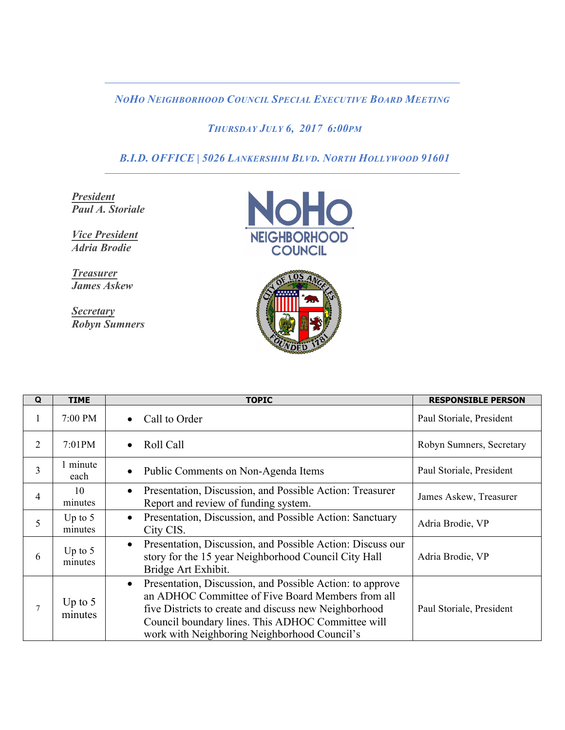*NOHO NEIGHBORHOOD COUNCIL SPECIAL EXECUTIVE BOARD MEETING* 

## *THURSDAY JULY 6, 2017 6:00PM*

 *B.I.D. OFFICE | 5026 LANKERSHIM BLVD. NORTH HOLLYWOOD 91601*

*President Paul A. Storiale*

*Vice President Adria Brodie*

*Treasurer James Askew*

*Secretary Robyn Sumners*





| Q              | <b>TIME</b>          | <b>TOPIC</b>                                                                                                                                                                                                                                                                              | <b>RESPONSIBLE PERSON</b> |
|----------------|----------------------|-------------------------------------------------------------------------------------------------------------------------------------------------------------------------------------------------------------------------------------------------------------------------------------------|---------------------------|
| $\mathbf{I}$   | 7:00 PM              | Call to Order<br>$\bullet$                                                                                                                                                                                                                                                                | Paul Storiale, President  |
| 2              | 7:01PM               | Roll Call<br>$\bullet$                                                                                                                                                                                                                                                                    | Robyn Sumners, Secretary  |
| $\overline{3}$ | 1 minute<br>each     | Public Comments on Non-Agenda Items<br>$\bullet$                                                                                                                                                                                                                                          | Paul Storiale, President  |
| $\overline{4}$ | 10<br>minutes        | Presentation, Discussion, and Possible Action: Treasurer<br>$\bullet$<br>Report and review of funding system.                                                                                                                                                                             | James Askew, Treasurer    |
| 5              | Up to $5$<br>minutes | Presentation, Discussion, and Possible Action: Sanctuary<br>$\bullet$<br>City CIS.                                                                                                                                                                                                        | Adria Brodie, VP          |
| 6              | Up to $5$<br>minutes | Presentation, Discussion, and Possible Action: Discuss our<br>$\bullet$<br>story for the 15 year Neighborhood Council City Hall<br>Bridge Art Exhibit.                                                                                                                                    | Adria Brodie, VP          |
| 7              | Up to $5$<br>minutes | Presentation, Discussion, and Possible Action: to approve<br>$\bullet$<br>an ADHOC Committee of Five Board Members from all<br>five Districts to create and discuss new Neighborhood<br>Council boundary lines. This ADHOC Committee will<br>work with Neighboring Neighborhood Council's | Paul Storiale, President  |